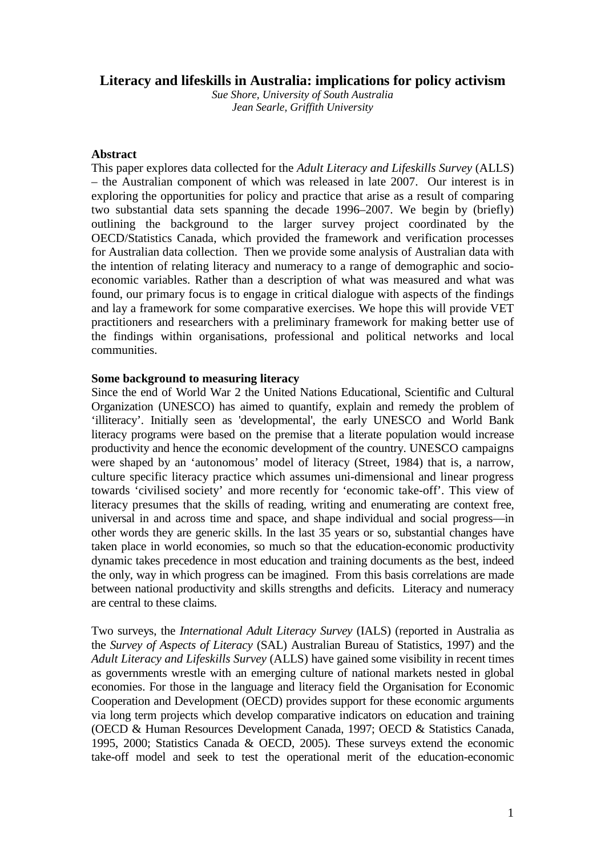# **Literacy and lifeskills in Australia: implications for policy activism**

*Sue Shore, University of South Australia Jean Searle, Griffith University* 

#### **Abstract**

This paper explores data collected for the *Adult Literacy and Lifeskills Survey* (ALLS) – the Australian component of which was released in late 2007. Our interest is in exploring the opportunities for policy and practice that arise as a result of comparing two substantial data sets spanning the decade 1996–2007. We begin by (briefly) outlining the background to the larger survey project coordinated by the OECD/Statistics Canada, which provided the framework and verification processes for Australian data collection. Then we provide some analysis of Australian data with the intention of relating literacy and numeracy to a range of demographic and socioeconomic variables. Rather than a description of what was measured and what was found, our primary focus is to engage in critical dialogue with aspects of the findings and lay a framework for some comparative exercises. We hope this will provide VET practitioners and researchers with a preliminary framework for making better use of the findings within organisations, professional and political networks and local communities.

#### **Some background to measuring literacy**

Since the end of World War 2 the United Nations Educational, Scientific and Cultural Organization (UNESCO) has aimed to quantify, explain and remedy the problem of 'illiteracy'. Initially seen as 'developmental', the early UNESCO and World Bank literacy programs were based on the premise that a literate population would increase productivity and hence the economic development of the country. UNESCO campaigns were shaped by an 'autonomous' model of literacy (Street, 1984) that is, a narrow, culture specific literacy practice which assumes uni-dimensional and linear progress towards 'civilised society' and more recently for 'economic take-off'. This view of literacy presumes that the skills of reading, writing and enumerating are context free, universal in and across time and space, and shape individual and social progress—in other words they are generic skills. In the last 35 years or so, substantial changes have taken place in world economies, so much so that the education-economic productivity dynamic takes precedence in most education and training documents as the best, indeed the only, way in which progress can be imagined. From this basis correlations are made between national productivity and skills strengths and deficits. Literacy and numeracy are central to these claims.

Two surveys, the *International Adult Literacy Survey* (IALS) (reported in Australia as the *Survey of Aspects of Literacy* (SAL) Australian Bureau of Statistics, 1997) and the *Adult Literacy and Lifeskills Survey* (ALLS) have gained some visibility in recent times as governments wrestle with an emerging culture of national markets nested in global economies. For those in the language and literacy field the Organisation for Economic Cooperation and Development (OECD) provides support for these economic arguments via long term projects which develop comparative indicators on education and training (OECD & Human Resources Development Canada, 1997; OECD & Statistics Canada, 1995, 2000; Statistics Canada & OECD, 2005). These surveys extend the economic take-off model and seek to test the operational merit of the education-economic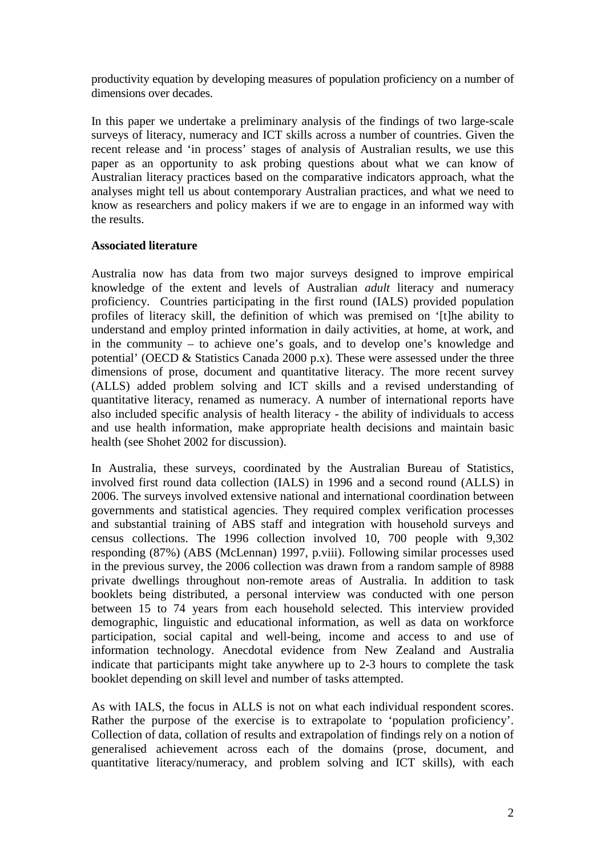productivity equation by developing measures of population proficiency on a number of dimensions over decades.

In this paper we undertake a preliminary analysis of the findings of two large-scale surveys of literacy, numeracy and ICT skills across a number of countries. Given the recent release and 'in process' stages of analysis of Australian results, we use this paper as an opportunity to ask probing questions about what we can know of Australian literacy practices based on the comparative indicators approach, what the analyses might tell us about contemporary Australian practices, and what we need to know as researchers and policy makers if we are to engage in an informed way with the results.

# **Associated literature**

Australia now has data from two major surveys designed to improve empirical knowledge of the extent and levels of Australian *adult* literacy and numeracy proficiency. Countries participating in the first round (IALS) provided population profiles of literacy skill, the definition of which was premised on '[t]he ability to understand and employ printed information in daily activities, at home, at work, and in the community – to achieve one's goals, and to develop one's knowledge and potential' (OECD & Statistics Canada 2000 p.x). These were assessed under the three dimensions of prose, document and quantitative literacy. The more recent survey (ALLS) added problem solving and ICT skills and a revised understanding of quantitative literacy, renamed as numeracy. A number of international reports have also included specific analysis of health literacy - the ability of individuals to access and use health information, make appropriate health decisions and maintain basic health (see Shohet 2002 for discussion).

In Australia, these surveys, coordinated by the Australian Bureau of Statistics, involved first round data collection (IALS) in 1996 and a second round (ALLS) in 2006. The surveys involved extensive national and international coordination between governments and statistical agencies. They required complex verification processes and substantial training of ABS staff and integration with household surveys and census collections. The 1996 collection involved 10, 700 people with 9,302 responding (87%) (ABS (McLennan) 1997, p.viii). Following similar processes used in the previous survey, the 2006 collection was drawn from a random sample of 8988 private dwellings throughout non-remote areas of Australia. In addition to task booklets being distributed, a personal interview was conducted with one person between 15 to 74 years from each household selected. This interview provided demographic, linguistic and educational information, as well as data on workforce participation, social capital and well-being, income and access to and use of information technology. Anecdotal evidence from New Zealand and Australia indicate that participants might take anywhere up to 2-3 hours to complete the task booklet depending on skill level and number of tasks attempted.

As with IALS, the focus in ALLS is not on what each individual respondent scores. Rather the purpose of the exercise is to extrapolate to 'population proficiency'. Collection of data, collation of results and extrapolation of findings rely on a notion of generalised achievement across each of the domains (prose, document, and quantitative literacy/numeracy, and problem solving and ICT skills), with each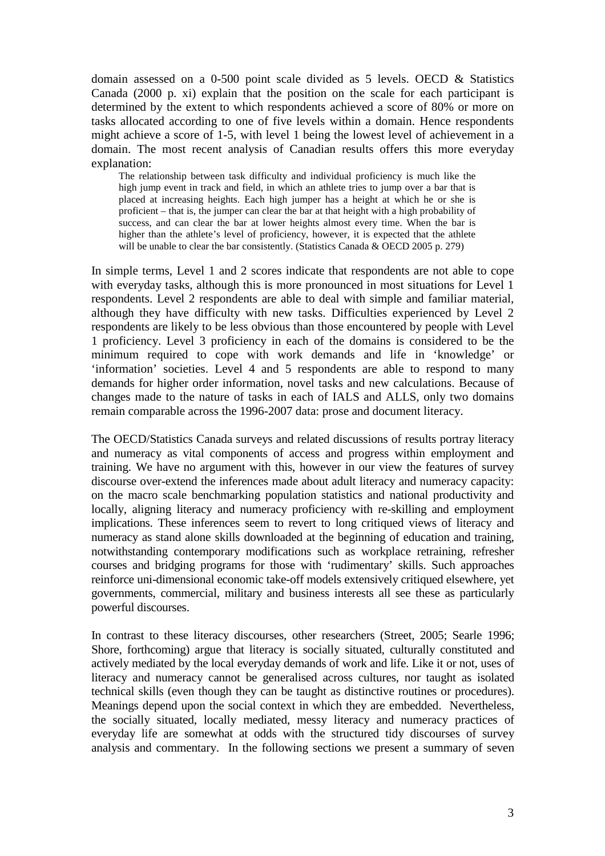domain assessed on a 0-500 point scale divided as 5 levels. OECD & Statistics Canada (2000 p. xi) explain that the position on the scale for each participant is determined by the extent to which respondents achieved a score of 80% or more on tasks allocated according to one of five levels within a domain. Hence respondents might achieve a score of 1-5, with level 1 being the lowest level of achievement in a domain. The most recent analysis of Canadian results offers this more everyday explanation:

The relationship between task difficulty and individual proficiency is much like the high jump event in track and field, in which an athlete tries to jump over a bar that is placed at increasing heights. Each high jumper has a height at which he or she is proficient – that is, the jumper can clear the bar at that height with a high probability of success, and can clear the bar at lower heights almost every time. When the bar is higher than the athlete's level of proficiency, however, it is expected that the athlete will be unable to clear the bar consistently. (Statistics Canada & OECD 2005 p. 279)

In simple terms, Level 1 and 2 scores indicate that respondents are not able to cope with everyday tasks, although this is more pronounced in most situations for Level 1 respondents. Level 2 respondents are able to deal with simple and familiar material, although they have difficulty with new tasks. Difficulties experienced by Level 2 respondents are likely to be less obvious than those encountered by people with Level 1 proficiency. Level 3 proficiency in each of the domains is considered to be the minimum required to cope with work demands and life in 'knowledge' or 'information' societies. Level 4 and 5 respondents are able to respond to many demands for higher order information, novel tasks and new calculations. Because of changes made to the nature of tasks in each of IALS and ALLS, only two domains remain comparable across the 1996-2007 data: prose and document literacy.

The OECD/Statistics Canada surveys and related discussions of results portray literacy and numeracy as vital components of access and progress within employment and training. We have no argument with this, however in our view the features of survey discourse over-extend the inferences made about adult literacy and numeracy capacity: on the macro scale benchmarking population statistics and national productivity and locally, aligning literacy and numeracy proficiency with re-skilling and employment implications. These inferences seem to revert to long critiqued views of literacy and numeracy as stand alone skills downloaded at the beginning of education and training, notwithstanding contemporary modifications such as workplace retraining, refresher courses and bridging programs for those with 'rudimentary' skills. Such approaches reinforce uni-dimensional economic take-off models extensively critiqued elsewhere, yet governments, commercial, military and business interests all see these as particularly powerful discourses.

In contrast to these literacy discourses, other researchers (Street, 2005; Searle 1996; Shore, forthcoming) argue that literacy is socially situated, culturally constituted and actively mediated by the local everyday demands of work and life. Like it or not, uses of literacy and numeracy cannot be generalised across cultures, nor taught as isolated technical skills (even though they can be taught as distinctive routines or procedures). Meanings depend upon the social context in which they are embedded. Nevertheless, the socially situated, locally mediated, messy literacy and numeracy practices of everyday life are somewhat at odds with the structured tidy discourses of survey analysis and commentary. In the following sections we present a summary of seven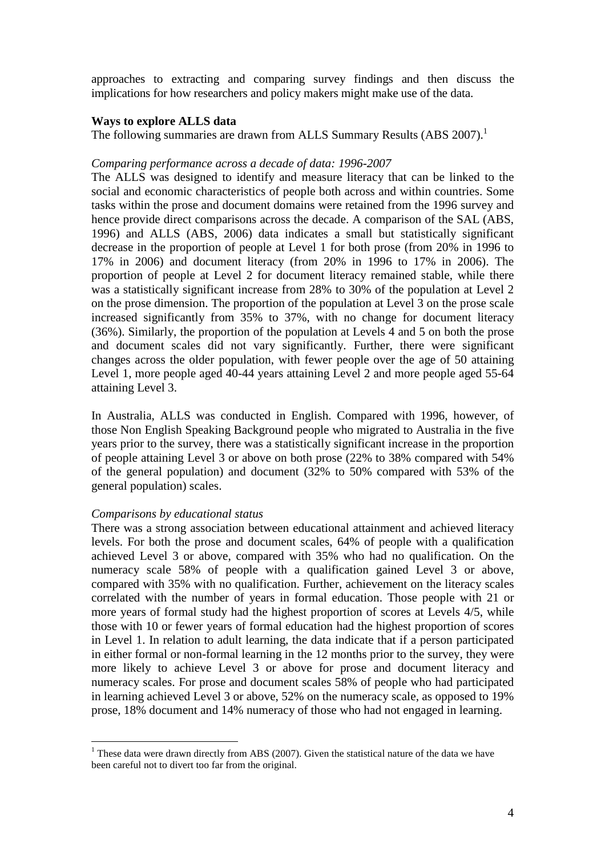approaches to extracting and comparing survey findings and then discuss the implications for how researchers and policy makers might make use of the data.

#### **Ways to explore ALLS data**

The following summaries are drawn from ALLS Summary Results (ABS 2007).<sup>1</sup>

# *Comparing performance across a decade of data: 1996-2007*

The ALLS was designed to identify and measure literacy that can be linked to the social and economic characteristics of people both across and within countries. Some tasks within the prose and document domains were retained from the 1996 survey and hence provide direct comparisons across the decade. A comparison of the SAL (ABS, 1996) and ALLS (ABS, 2006) data indicates a small but statistically significant decrease in the proportion of people at Level 1 for both prose (from 20% in 1996 to 17% in 2006) and document literacy (from 20% in 1996 to 17% in 2006). The proportion of people at Level 2 for document literacy remained stable, while there was a statistically significant increase from 28% to 30% of the population at Level 2 on the prose dimension. The proportion of the population at Level 3 on the prose scale increased significantly from 35% to 37%, with no change for document literacy (36%). Similarly, the proportion of the population at Levels 4 and 5 on both the prose and document scales did not vary significantly. Further, there were significant changes across the older population, with fewer people over the age of 50 attaining Level 1, more people aged 40-44 years attaining Level 2 and more people aged 55-64 attaining Level 3.

In Australia, ALLS was conducted in English. Compared with 1996, however, of those Non English Speaking Background people who migrated to Australia in the five years prior to the survey, there was a statistically significant increase in the proportion of people attaining Level 3 or above on both prose (22% to 38% compared with 54% of the general population) and document (32% to 50% compared with 53% of the general population) scales.

#### *Comparisons by educational status*

 $\overline{a}$ 

There was a strong association between educational attainment and achieved literacy levels. For both the prose and document scales, 64% of people with a qualification achieved Level 3 or above, compared with 35% who had no qualification. On the numeracy scale 58% of people with a qualification gained Level 3 or above, compared with 35% with no qualification. Further, achievement on the literacy scales correlated with the number of years in formal education. Those people with 21 or more years of formal study had the highest proportion of scores at Levels 4/5, while those with 10 or fewer years of formal education had the highest proportion of scores in Level 1. In relation to adult learning, the data indicate that if a person participated in either formal or non-formal learning in the 12 months prior to the survey, they were more likely to achieve Level 3 or above for prose and document literacy and numeracy scales. For prose and document scales 58% of people who had participated in learning achieved Level 3 or above, 52% on the numeracy scale, as opposed to 19% prose, 18% document and 14% numeracy of those who had not engaged in learning.

<sup>&</sup>lt;sup>1</sup> These data were drawn directly from ABS (2007). Given the statistical nature of the data we have been careful not to divert too far from the original.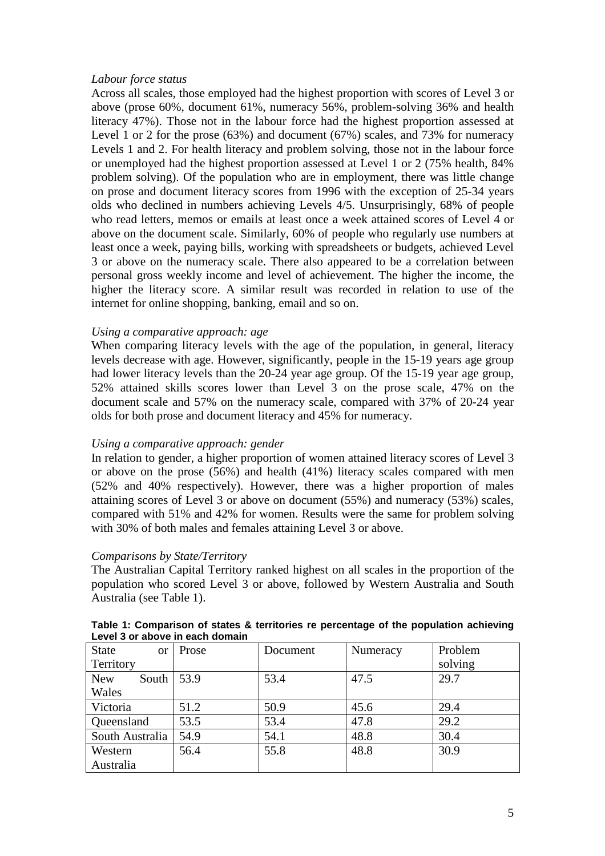#### *Labour force status*

Across all scales, those employed had the highest proportion with scores of Level 3 or above (prose 60%, document 61%, numeracy 56%, problem-solving 36% and health literacy 47%). Those not in the labour force had the highest proportion assessed at Level 1 or 2 for the prose (63%) and document (67%) scales, and 73% for numeracy Levels 1 and 2. For health literacy and problem solving, those not in the labour force or unemployed had the highest proportion assessed at Level 1 or 2 (75% health, 84% problem solving). Of the population who are in employment, there was little change on prose and document literacy scores from 1996 with the exception of 25-34 years olds who declined in numbers achieving Levels 4/5. Unsurprisingly, 68% of people who read letters, memos or emails at least once a week attained scores of Level 4 or above on the document scale. Similarly, 60% of people who regularly use numbers at least once a week, paying bills, working with spreadsheets or budgets, achieved Level 3 or above on the numeracy scale. There also appeared to be a correlation between personal gross weekly income and level of achievement. The higher the income, the higher the literacy score. A similar result was recorded in relation to use of the internet for online shopping, banking, email and so on.

## *Using a comparative approach: age*

When comparing literacy levels with the age of the population, in general, literacy levels decrease with age. However, significantly, people in the 15-19 years age group had lower literacy levels than the 20-24 year age group. Of the 15-19 year age group, 52% attained skills scores lower than Level 3 on the prose scale, 47% on the document scale and 57% on the numeracy scale, compared with 37% of 20-24 year olds for both prose and document literacy and 45% for numeracy.

## *Using a comparative approach: gender*

In relation to gender, a higher proportion of women attained literacy scores of Level 3 or above on the prose (56%) and health (41%) literacy scales compared with men (52% and 40% respectively). However, there was a higher proportion of males attaining scores of Level 3 or above on document (55%) and numeracy (53%) scales, compared with 51% and 42% for women. Results were the same for problem solving with 30% of both males and females attaining Level 3 or above.

## *Comparisons by State/Territory*

The Australian Capital Territory ranked highest on all scales in the proportion of the population who scored Level 3 or above, followed by Western Australia and South Australia (see Table 1).

| <b>State</b><br>$\alpha$ | Prose | Document | Numeracy | Problem |
|--------------------------|-------|----------|----------|---------|
| Territory                |       |          |          | solving |
| <b>New</b><br>South      | 53.9  | 53.4     | 47.5     | 29.7    |
| Wales                    |       |          |          |         |
| Victoria                 | 51.2  | 50.9     | 45.6     | 29.4    |
| Queensland               | 53.5  | 53.4     | 47.8     | 29.2    |
| South Australia          | 54.9  | 54.1     | 48.8     | 30.4    |
| Western                  | 56.4  | 55.8     | 48.8     | 30.9    |
| Australia                |       |          |          |         |

**Table 1: Comparison of states & territories re percentage of the population achieving Level 3 or above in each domain**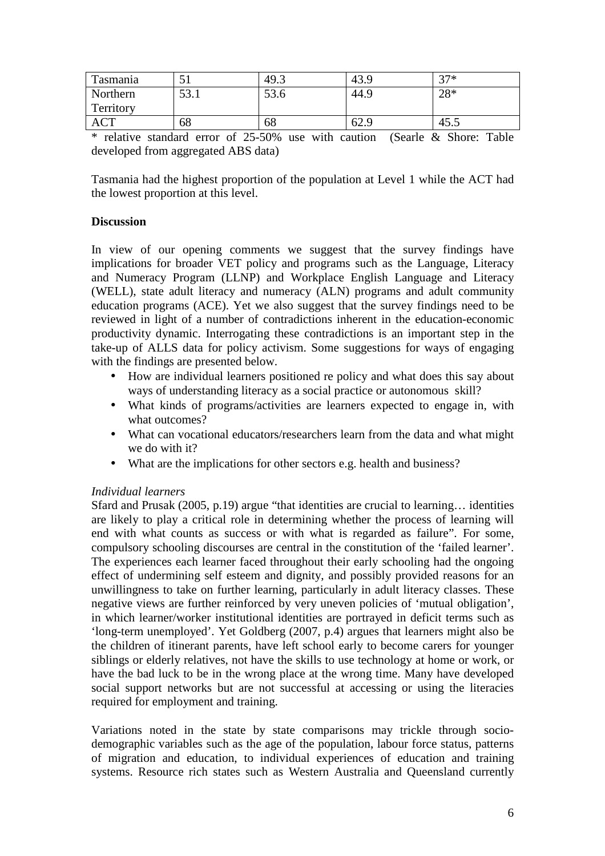| Tasmania   | ◡    | 49.3 | 43.9 | $27*$ |
|------------|------|------|------|-------|
| Northern   | 53.1 | 53.6 | 44.9 | 28*   |
| Territory  |      |      |      |       |
| <b>ACT</b> | 68   | 68   | 62.9 | 45.5  |

\* relative standard error of 25-50% use with caution (Searle & Shore: Table developed from aggregated ABS data)

Tasmania had the highest proportion of the population at Level 1 while the ACT had the lowest proportion at this level.

# **Discussion**

In view of our opening comments we suggest that the survey findings have implications for broader VET policy and programs such as the Language, Literacy and Numeracy Program (LLNP) and Workplace English Language and Literacy (WELL), state adult literacy and numeracy (ALN) programs and adult community education programs (ACE). Yet we also suggest that the survey findings need to be reviewed in light of a number of contradictions inherent in the education-economic productivity dynamic. Interrogating these contradictions is an important step in the take-up of ALLS data for policy activism. Some suggestions for ways of engaging with the findings are presented below.

- How are individual learners positioned re policy and what does this say about ways of understanding literacy as a social practice or autonomous skill?
- What kinds of programs/activities are learners expected to engage in, with what outcomes?
- What can vocational educators/researchers learn from the data and what might we do with it?
- What are the implications for other sectors e.g. health and business?

## *Individual learners*

Sfard and Prusak (2005, p.19) argue "that identities are crucial to learning… identities are likely to play a critical role in determining whether the process of learning will end with what counts as success or with what is regarded as failure". For some, compulsory schooling discourses are central in the constitution of the 'failed learner'. The experiences each learner faced throughout their early schooling had the ongoing effect of undermining self esteem and dignity, and possibly provided reasons for an unwillingness to take on further learning, particularly in adult literacy classes. These negative views are further reinforced by very uneven policies of 'mutual obligation', in which learner/worker institutional identities are portrayed in deficit terms such as 'long-term unemployed'. Yet Goldberg (2007, p.4) argues that learners might also be the children of itinerant parents, have left school early to become carers for younger siblings or elderly relatives, not have the skills to use technology at home or work, or have the bad luck to be in the wrong place at the wrong time. Many have developed social support networks but are not successful at accessing or using the literacies required for employment and training.

Variations noted in the state by state comparisons may trickle through sociodemographic variables such as the age of the population, labour force status, patterns of migration and education, to individual experiences of education and training systems. Resource rich states such as Western Australia and Queensland currently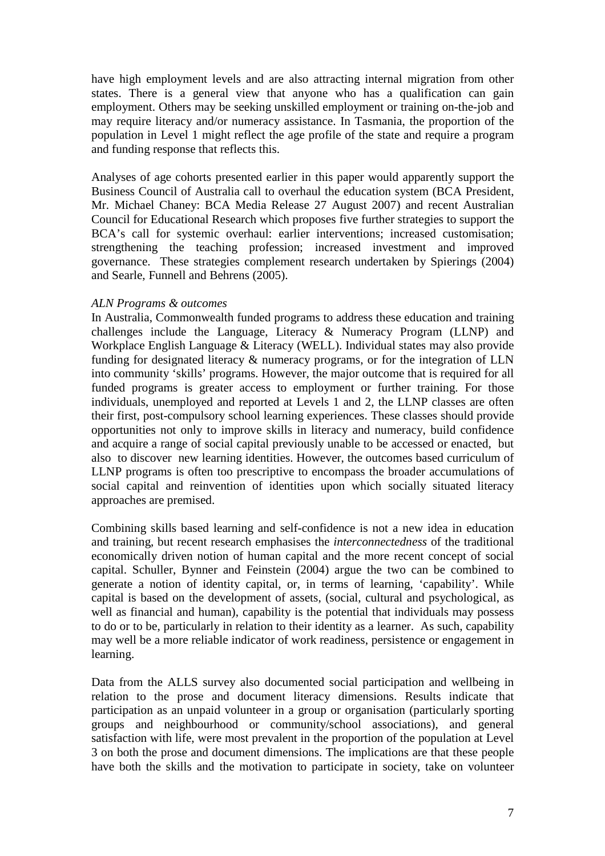have high employment levels and are also attracting internal migration from other states. There is a general view that anyone who has a qualification can gain employment. Others may be seeking unskilled employment or training on-the-job and may require literacy and/or numeracy assistance. In Tasmania, the proportion of the population in Level 1 might reflect the age profile of the state and require a program and funding response that reflects this.

Analyses of age cohorts presented earlier in this paper would apparently support the Business Council of Australia call to overhaul the education system (BCA President, Mr. Michael Chaney: BCA Media Release 27 August 2007) and recent Australian Council for Educational Research which proposes five further strategies to support the BCA's call for systemic overhaul: earlier interventions; increased customisation; strengthening the teaching profession; increased investment and improved governance. These strategies complement research undertaken by Spierings (2004) and Searle, Funnell and Behrens (2005).

## *ALN Programs & outcomes*

In Australia, Commonwealth funded programs to address these education and training challenges include the Language, Literacy & Numeracy Program (LLNP) and Workplace English Language & Literacy (WELL). Individual states may also provide funding for designated literacy & numeracy programs, or for the integration of LLN into community 'skills' programs. However, the major outcome that is required for all funded programs is greater access to employment or further training. For those individuals, unemployed and reported at Levels 1 and 2, the LLNP classes are often their first, post-compulsory school learning experiences. These classes should provide opportunities not only to improve skills in literacy and numeracy, build confidence and acquire a range of social capital previously unable to be accessed or enacted, but also to discover new learning identities. However, the outcomes based curriculum of LLNP programs is often too prescriptive to encompass the broader accumulations of social capital and reinvention of identities upon which socially situated literacy approaches are premised.

Combining skills based learning and self-confidence is not a new idea in education and training, but recent research emphasises the *interconnectedness* of the traditional economically driven notion of human capital and the more recent concept of social capital. Schuller, Bynner and Feinstein (2004) argue the two can be combined to generate a notion of identity capital, or, in terms of learning, 'capability'. While capital is based on the development of assets, (social, cultural and psychological, as well as financial and human), capability is the potential that individuals may possess to do or to be, particularly in relation to their identity as a learner. As such, capability may well be a more reliable indicator of work readiness, persistence or engagement in learning.

Data from the ALLS survey also documented social participation and wellbeing in relation to the prose and document literacy dimensions. Results indicate that participation as an unpaid volunteer in a group or organisation (particularly sporting groups and neighbourhood or community/school associations), and general satisfaction with life, were most prevalent in the proportion of the population at Level 3 on both the prose and document dimensions. The implications are that these people have both the skills and the motivation to participate in society, take on volunteer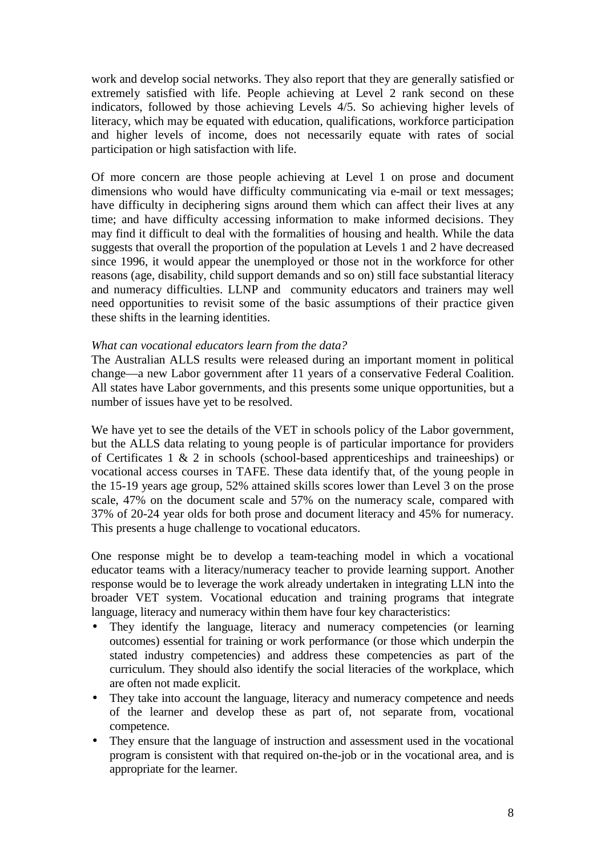work and develop social networks. They also report that they are generally satisfied or extremely satisfied with life. People achieving at Level 2 rank second on these indicators, followed by those achieving Levels 4/5. So achieving higher levels of literacy, which may be equated with education, qualifications, workforce participation and higher levels of income, does not necessarily equate with rates of social participation or high satisfaction with life.

Of more concern are those people achieving at Level 1 on prose and document dimensions who would have difficulty communicating via e-mail or text messages; have difficulty in deciphering signs around them which can affect their lives at any time; and have difficulty accessing information to make informed decisions. They may find it difficult to deal with the formalities of housing and health. While the data suggests that overall the proportion of the population at Levels 1 and 2 have decreased since 1996, it would appear the unemployed or those not in the workforce for other reasons (age, disability, child support demands and so on) still face substantial literacy and numeracy difficulties. LLNP and community educators and trainers may well need opportunities to revisit some of the basic assumptions of their practice given these shifts in the learning identities.

## *What can vocational educators learn from the data?*

The Australian ALLS results were released during an important moment in political change—a new Labor government after 11 years of a conservative Federal Coalition. All states have Labor governments, and this presents some unique opportunities, but a number of issues have yet to be resolved.

We have yet to see the details of the VET in schools policy of the Labor government, but the ALLS data relating to young people is of particular importance for providers of Certificates 1 & 2 in schools (school-based apprenticeships and traineeships) or vocational access courses in TAFE. These data identify that, of the young people in the 15-19 years age group, 52% attained skills scores lower than Level 3 on the prose scale, 47% on the document scale and 57% on the numeracy scale, compared with 37% of 20-24 year olds for both prose and document literacy and 45% for numeracy. This presents a huge challenge to vocational educators.

One response might be to develop a team-teaching model in which a vocational educator teams with a literacy/numeracy teacher to provide learning support. Another response would be to leverage the work already undertaken in integrating LLN into the broader VET system. Vocational education and training programs that integrate language, literacy and numeracy within them have four key characteristics:

- They identify the language, literacy and numeracy competencies (or learning outcomes) essential for training or work performance (or those which underpin the stated industry competencies) and address these competencies as part of the curriculum. They should also identify the social literacies of the workplace, which are often not made explicit.
- They take into account the language, literacy and numeracy competence and needs of the learner and develop these as part of, not separate from, vocational competence.
- They ensure that the language of instruction and assessment used in the vocational program is consistent with that required on-the-job or in the vocational area, and is appropriate for the learner.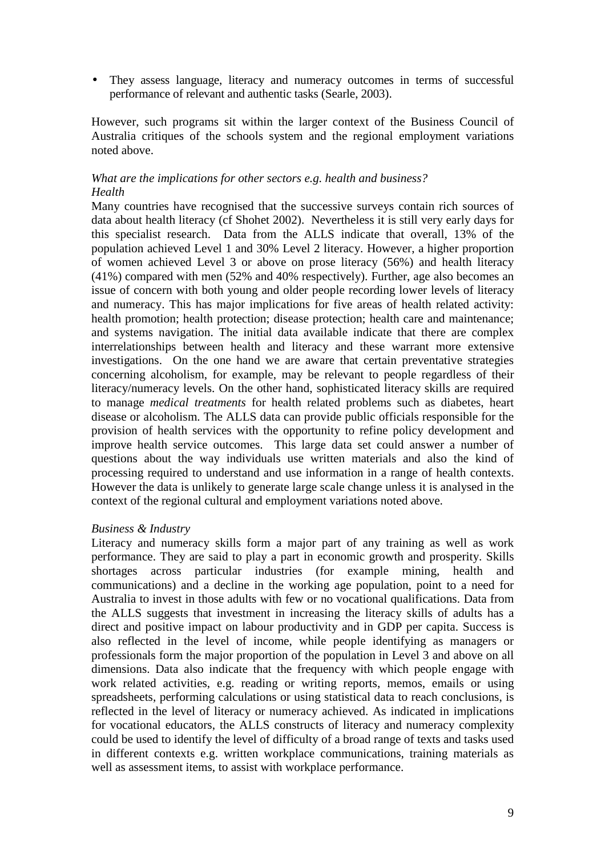• They assess language, literacy and numeracy outcomes in terms of successful performance of relevant and authentic tasks (Searle, 2003).

However, such programs sit within the larger context of the Business Council of Australia critiques of the schools system and the regional employment variations noted above.

# *What are the implications for other sectors e.g. health and business? Health*

Many countries have recognised that the successive surveys contain rich sources of data about health literacy (cf Shohet 2002). Nevertheless it is still very early days for this specialist research. Data from the ALLS indicate that overall, 13% of the population achieved Level 1 and 30% Level 2 literacy. However, a higher proportion of women achieved Level 3 or above on prose literacy (56%) and health literacy (41%) compared with men (52% and 40% respectively). Further, age also becomes an issue of concern with both young and older people recording lower levels of literacy and numeracy. This has major implications for five areas of health related activity: health promotion; health protection; disease protection; health care and maintenance; and systems navigation. The initial data available indicate that there are complex interrelationships between health and literacy and these warrant more extensive investigations. On the one hand we are aware that certain preventative strategies concerning alcoholism, for example, may be relevant to people regardless of their literacy/numeracy levels. On the other hand, sophisticated literacy skills are required to manage *medical treatments* for health related problems such as diabetes, heart disease or alcoholism. The ALLS data can provide public officials responsible for the provision of health services with the opportunity to refine policy development and improve health service outcomes. This large data set could answer a number of questions about the way individuals use written materials and also the kind of processing required to understand and use information in a range of health contexts. However the data is unlikely to generate large scale change unless it is analysed in the context of the regional cultural and employment variations noted above.

## *Business & Industry*

Literacy and numeracy skills form a major part of any training as well as work performance. They are said to play a part in economic growth and prosperity. Skills shortages across particular industries (for example mining, health and communications) and a decline in the working age population, point to a need for Australia to invest in those adults with few or no vocational qualifications. Data from the ALLS suggests that investment in increasing the literacy skills of adults has a direct and positive impact on labour productivity and in GDP per capita. Success is also reflected in the level of income, while people identifying as managers or professionals form the major proportion of the population in Level 3 and above on all dimensions. Data also indicate that the frequency with which people engage with work related activities, e.g. reading or writing reports, memos, emails or using spreadsheets, performing calculations or using statistical data to reach conclusions, is reflected in the level of literacy or numeracy achieved. As indicated in implications for vocational educators, the ALLS constructs of literacy and numeracy complexity could be used to identify the level of difficulty of a broad range of texts and tasks used in different contexts e.g. written workplace communications, training materials as well as assessment items, to assist with workplace performance.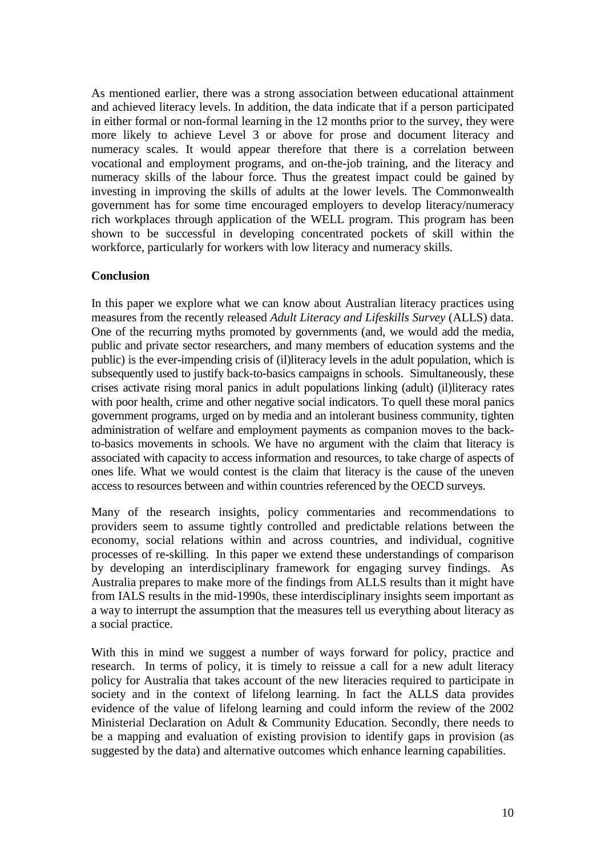As mentioned earlier, there was a strong association between educational attainment and achieved literacy levels. In addition, the data indicate that if a person participated in either formal or non-formal learning in the 12 months prior to the survey, they were more likely to achieve Level 3 or above for prose and document literacy and numeracy scales. It would appear therefore that there is a correlation between vocational and employment programs, and on-the-job training, and the literacy and numeracy skills of the labour force. Thus the greatest impact could be gained by investing in improving the skills of adults at the lower levels. The Commonwealth government has for some time encouraged employers to develop literacy/numeracy rich workplaces through application of the WELL program. This program has been shown to be successful in developing concentrated pockets of skill within the workforce, particularly for workers with low literacy and numeracy skills.

# **Conclusion**

In this paper we explore what we can know about Australian literacy practices using measures from the recently released *Adult Literacy and Lifeskills Survey* (ALLS) data. One of the recurring myths promoted by governments (and, we would add the media, public and private sector researchers, and many members of education systems and the public) is the ever-impending crisis of (il)literacy levels in the adult population, which is subsequently used to justify back-to-basics campaigns in schools. Simultaneously, these crises activate rising moral panics in adult populations linking (adult) (il)literacy rates with poor health, crime and other negative social indicators. To quell these moral panics government programs, urged on by media and an intolerant business community, tighten administration of welfare and employment payments as companion moves to the backto-basics movements in schools. We have no argument with the claim that literacy is associated with capacity to access information and resources, to take charge of aspects of ones life. What we would contest is the claim that literacy is the cause of the uneven access to resources between and within countries referenced by the OECD surveys.

Many of the research insights, policy commentaries and recommendations to providers seem to assume tightly controlled and predictable relations between the economy, social relations within and across countries, and individual, cognitive processes of re-skilling. In this paper we extend these understandings of comparison by developing an interdisciplinary framework for engaging survey findings. As Australia prepares to make more of the findings from ALLS results than it might have from IALS results in the mid-1990s, these interdisciplinary insights seem important as a way to interrupt the assumption that the measures tell us everything about literacy as a social practice.

With this in mind we suggest a number of ways forward for policy, practice and research. In terms of policy, it is timely to reissue a call for a new adult literacy policy for Australia that takes account of the new literacies required to participate in society and in the context of lifelong learning. In fact the ALLS data provides evidence of the value of lifelong learning and could inform the review of the 2002 Ministerial Declaration on Adult & Community Education. Secondly, there needs to be a mapping and evaluation of existing provision to identify gaps in provision (as suggested by the data) and alternative outcomes which enhance learning capabilities.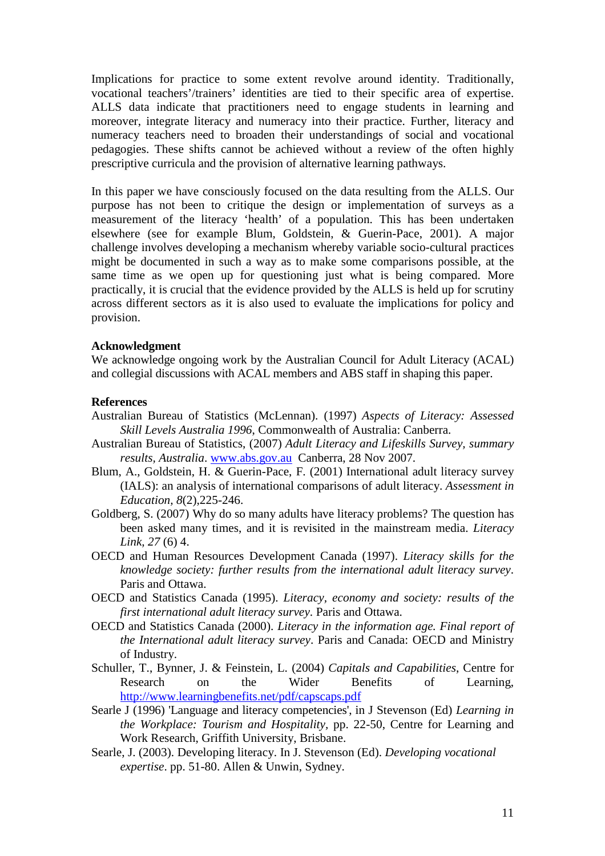Implications for practice to some extent revolve around identity. Traditionally, vocational teachers'/trainers' identities are tied to their specific area of expertise. ALLS data indicate that practitioners need to engage students in learning and moreover, integrate literacy and numeracy into their practice. Further, literacy and numeracy teachers need to broaden their understandings of social and vocational pedagogies. These shifts cannot be achieved without a review of the often highly prescriptive curricula and the provision of alternative learning pathways.

In this paper we have consciously focused on the data resulting from the ALLS. Our purpose has not been to critique the design or implementation of surveys as a measurement of the literacy 'health' of a population. This has been undertaken elsewhere (see for example Blum, Goldstein, & Guerin-Pace, 2001). A major challenge involves developing a mechanism whereby variable socio-cultural practices might be documented in such a way as to make some comparisons possible, at the same time as we open up for questioning just what is being compared. More practically, it is crucial that the evidence provided by the ALLS is held up for scrutiny across different sectors as it is also used to evaluate the implications for policy and provision.

#### **Acknowledgment**

We acknowledge ongoing work by the Australian Council for Adult Literacy (ACAL) and collegial discussions with ACAL members and ABS staff in shaping this paper.

#### **References**

- Australian Bureau of Statistics (McLennan). (1997) *Aspects of Literacy: Assessed Skill Levels Australia 1996*, Commonwealth of Australia: Canberra.
- Australian Bureau of Statistics, (2007) *Adult Literacy and Lifeskills Survey, summary results, Australia*. www.abs.gov.au Canberra, 28 Nov 2007.
- Blum, A., Goldstein, H. & Guerin-Pace, F. (2001) International adult literacy survey (IALS): an analysis of international comparisons of adult literacy. *Assessment in Education, 8*(2),225-246.
- Goldberg, S. (2007) Why do so many adults have literacy problems? The question has been asked many times, and it is revisited in the mainstream media. *Literacy Link, 27* (6) 4.
- OECD and Human Resources Development Canada (1997). *Literacy skills for the knowledge society: further results from the international adult literacy survey*. Paris and Ottawa.
- OECD and Statistics Canada (1995). *Literacy, economy and society: results of the first international adult literacy survey*. Paris and Ottawa.
- OECD and Statistics Canada (2000). *Literacy in the information age. Final report of the International adult literacy survey*. Paris and Canada: OECD and Ministry of Industry.
- Schuller, T., Bynner, J. & Feinstein, L. (2004) *Capitals and Capabilities*, Centre for Research on the Wider Benefits of Learning, http://www.learningbenefits.net/pdf/capscaps.pdf
- Searle J (1996) 'Language and literacy competencies', in J Stevenson (Ed) *Learning in the Workplace: Tourism and Hospitality,* pp. 22-50, Centre for Learning and Work Research, Griffith University, Brisbane.
- Searle, J. (2003). Developing literacy. In J. Stevenson (Ed). *Developing vocational expertise*. pp. 51-80. Allen & Unwin, Sydney.